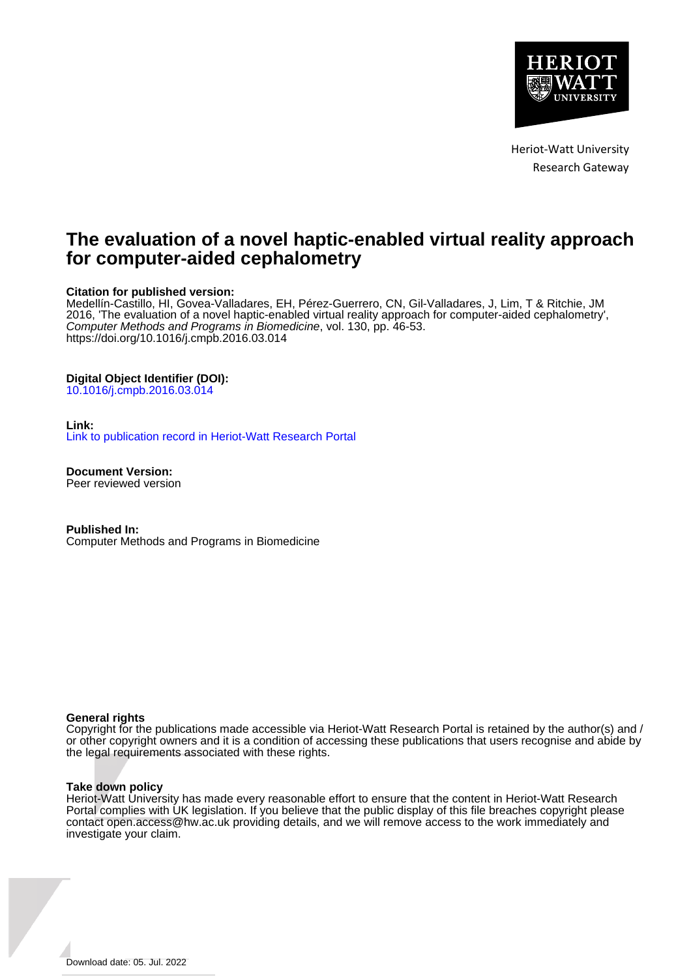

Heriot-Watt University Research Gateway

## **The evaluation of a novel haptic-enabled virtual reality approach for computer-aided cephalometry**

### **Citation for published version:**

Medellín-Castillo, HI, Govea-Valladares, EH, Pérez-Guerrero, CN, Gil-Valladares, J, Lim, T & Ritchie, JM 2016, 'The evaluation of a novel haptic-enabled virtual reality approach for computer-aided cephalometry', Computer Methods and Programs in Biomedicine, vol. 130, pp. 46-53. <https://doi.org/10.1016/j.cmpb.2016.03.014>

#### **Digital Object Identifier (DOI):**

[10.1016/j.cmpb.2016.03.014](https://doi.org/10.1016/j.cmpb.2016.03.014)

#### **Link:**

[Link to publication record in Heriot-Watt Research Portal](https://researchportal.hw.ac.uk/en/publications/0dec3cb0-10b8-474f-8980-45aa1f374722)

**Document Version:** Peer reviewed version

**Published In:** Computer Methods and Programs in Biomedicine

#### **General rights**

Copyright for the publications made accessible via Heriot-Watt Research Portal is retained by the author(s) and / or other copyright owners and it is a condition of accessing these publications that users recognise and abide by the legal requirements associated with these rights.

#### **Take down policy**

Heriot-Watt University has made every reasonable effort to ensure that the content in Heriot-Watt Research Portal complies with UK legislation. If you believe that the public display of this file breaches copyright please contact open.access@hw.ac.uk providing details, and we will remove access to the work immediately and investigate your claim.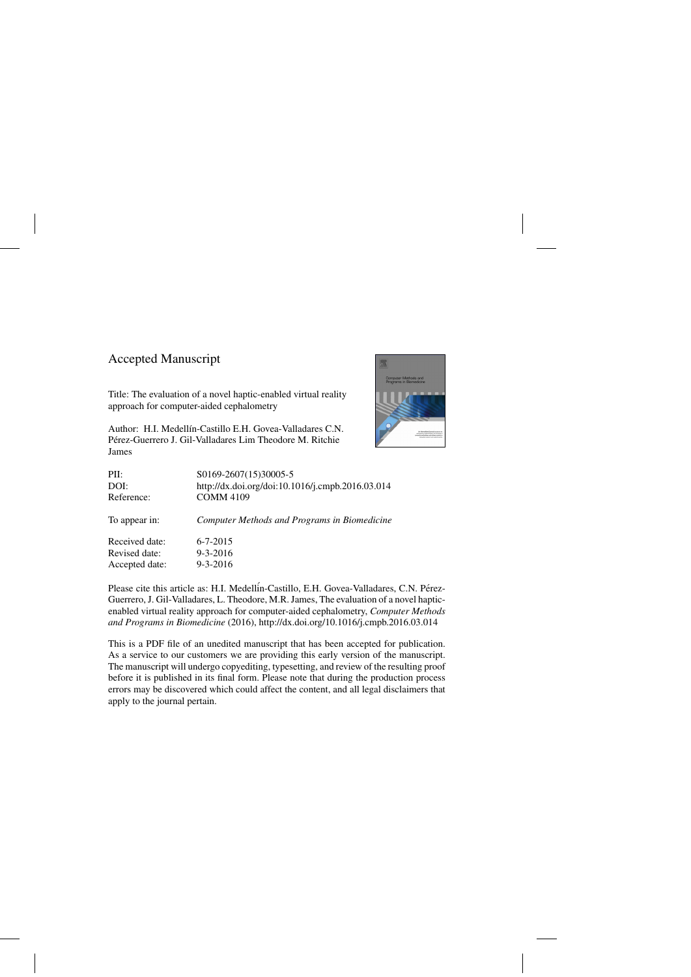## Accepted Manuscript

Title: The evaluation of a novel haptic-enabled virtual reality approach for computer-aided cephalometry

Author: H.I. Medellín-Castillo E.H. Govea-Valladares C.N. Perez-Guerrero J. Gil-Valladares Lim Theodore M. Ritchie ´ James



| S0169-2607(15)30005-5                               |
|-----------------------------------------------------|
| http://dx.doi.org/doi:10.1016/j.cmpb.2016.03.014    |
| <b>COMM 4109</b>                                    |
| <b>Computer Methods and Programs in Biomedicine</b> |
| $6 - 7 - 2015$                                      |
| $9 - 3 - 2016$                                      |
| $9 - 3 - 2016$                                      |
|                                                     |

Please cite this article as: H.I. Medellin-Castillo, E.H. Govea-Valladares, C.N. Pérez-Guerrero, J. Gil-Valladares, L. Theodore, M.R. James, The evaluation of a novel hapticenabled virtual reality approach for computer-aided cephalometry, *Computer Methods and Programs in Biomedicine* (2016),<http://dx.doi.org/10.1016/j.cmpb.2016.03.014>

This is a PDF file of an unedited manuscript that has been accepted for publication. As a service to our customers we are providing this early version of the manuscript. The manuscript will undergo copyediting, typesetting, and review of the resulting proof before it is published in its final form. Please note that during the production process errors may be discovered which could affect the content, and all legal disclaimers that apply to the journal pertain.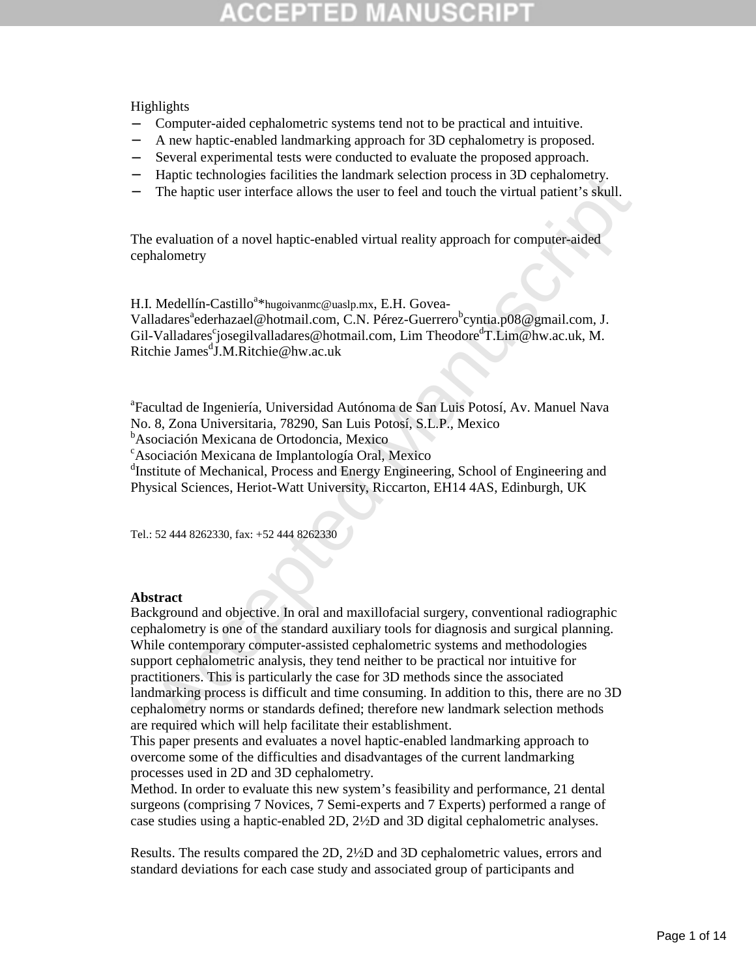Highlights

- − Computer-aided cephalometric systems tend not to be practical and intuitive.
- − A new haptic-enabled landmarking approach for 3D cephalometry is proposed.
- − Several experimental tests were conducted to evaluate the proposed approach.
- − Haptic technologies facilities the landmark selection process in 3D cephalometry.
- The haptic user interface allows the user to feel and touch the virtual patient's skull.

The evaluation of a novel haptic-enabled virtual reality approach for computer-aided cephalometry

H.I. Medellín-Castillo<sup>a\*\*</sup>hugoivanmc@uaslp.mx, E.H. Govea-Valladares<sup>a</sup>ederhazael@hotmail.com, C.N. Pérez-Guerrero<sup>b</sup>cyntia.p08@gmail.com, J. Gil-Valladares<sup>c</sup>josegilvalladares@hotmail.com, Lim Theodore<sup>d</sup>T.Lim@hw.ac.uk, M. Ritchie James<sup>d</sup>J.M.Ritchie@hw.ac.uk

a Facultad de Ingeniería, Universidad Autónoma de San Luis Potosí, Av. Manuel Nava No. 8, Zona Universitaria, 78290, San Luis Potosí, S.L.P., Mexico

<sup>b</sup>Asociación Mexicana de Ortodoncia, Mexico

<sup>c</sup>Asociación Mexicana de Implantología Oral, Mexico

<sup>d</sup>Institute of Mechanical, Process and Energy Engineering, School of Engineering and Physical Sciences, Heriot-Watt University, Riccarton, EH14 4AS, Edinburgh, UK

Tel.: 52 444 8262330, fax: +52 444 8262330

#### **Abstract**

riante teemologies racinuss the inhumant selection process in 3.1 ceptanomerry.<br>The haptic user interface allows the user to feel and touch the virtual patient's skull.<br>
cyaluation of a novel haptic-enabled virtual realit Background and objective. In oral and maxillofacial surgery, conventional radiographic cephalometry is one of the standard auxiliary tools for diagnosis and surgical planning. While contemporary computer-assisted cephalometric systems and methodologies support cephalometric analysis, they tend neither to be practical nor intuitive for practitioners. This is particularly the case for 3D methods since the associated landmarking process is difficult and time consuming. In addition to this, there are no 3D cephalometry norms or standards defined; therefore new landmark selection methods are required which will help facilitate their establishment.

This paper presents and evaluates a novel haptic-enabled landmarking approach to overcome some of the difficulties and disadvantages of the current landmarking processes used in 2D and 3D cephalometry.

Method. In order to evaluate this new system's feasibility and performance, 21 dental surgeons (comprising 7 Novices, 7 Semi-experts and 7 Experts) performed a range of case studies using a haptic-enabled 2D, 2½D and 3D digital cephalometric analyses.

Results. The results compared the 2D, 2½D and 3D cephalometric values, errors and standard deviations for each case study and associated group of participants and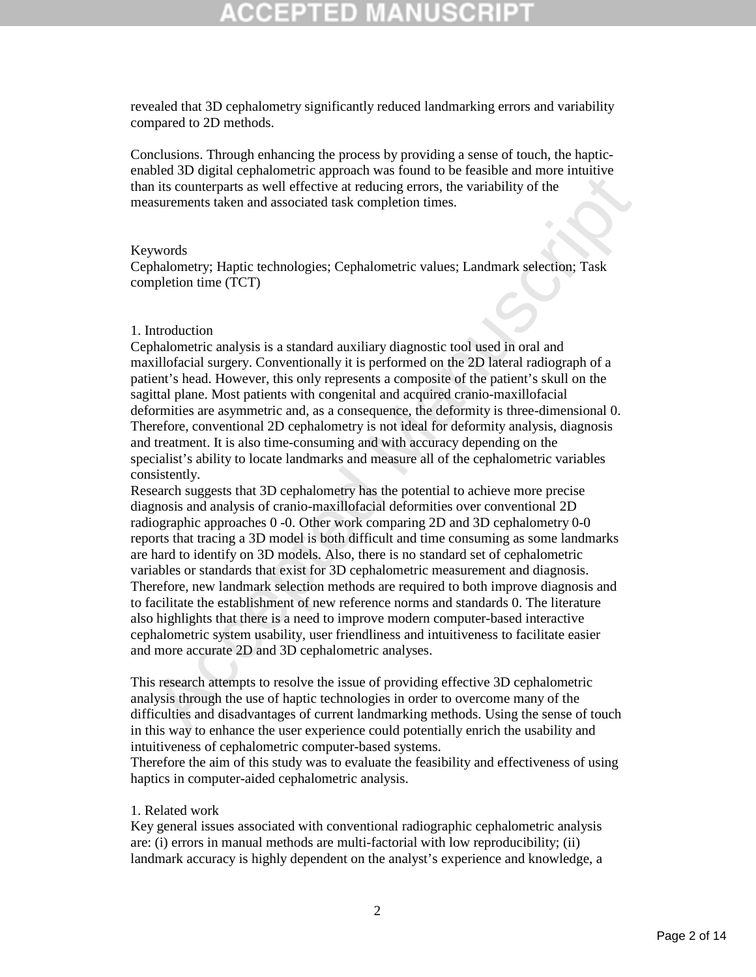revealed that 3D cephalometry significantly reduced landmarking errors and variability compared to 2D methods.

Conclusions. Through enhancing the process by providing a sense of touch, the hapticenabled 3D digital cephalometric approach was found to be feasible and more intuitive than its counterparts as well effective at reducing errors, the variability of the measurements taken and associated task completion times.

#### Keywords

Cephalometry; Haptic technologies; Cephalometric values; Landmark selection; Task completion time (TCT)

### 1. Introduction

Cephalometric analysis is a standard auxiliary diagnostic tool used in oral and maxillofacial surgery. Conventionally it is performed on the 2D lateral radiograph of a patient's head. However, this only represents a composite of the patient's skull on the sagittal plane. Most patients with congenital and acquired cranio-maxillofacial deformities are asymmetric and, as a consequence, the deformity is three-dimensional 0. Therefore, conventional 2D cephalometry is not ideal for deformity analysis, diagnosis and treatment. It is also time-consuming and with accuracy depending on the specialist's ability to locate landmarks and measure all of the cephalometric variables consistently.

Example the interaction of the control of the second was been as followed with the mean of the contemparts as well effective at reducing errors, the variability of the instructuon is in the counterparts as well effective a Research suggests that 3D cephalometry has the potential to achieve more precise diagnosis and analysis of cranio-maxillofacial deformities over conventional 2D radiographic approaches 0 -0. Other work comparing 2D and 3D cephalometry 0-0 reports that tracing a 3D model is both difficult and time consuming as some landmarks are hard to identify on 3D models. Also, there is no standard set of cephalometric variables or standards that exist for 3D cephalometric measurement and diagnosis. Therefore, new landmark selection methods are required to both improve diagnosis and to facilitate the establishment of new reference norms and standards 0. The literature also highlights that there is a need to improve modern computer-based interactive cephalometric system usability, user friendliness and intuitiveness to facilitate easier and more accurate 2D and 3D cephalometric analyses.

This research attempts to resolve the issue of providing effective 3D cephalometric analysis through the use of haptic technologies in order to overcome many of the difficulties and disadvantages of current landmarking methods. Using the sense of touch in this way to enhance the user experience could potentially enrich the usability and intuitiveness of cephalometric computer-based systems.

Therefore the aim of this study was to evaluate the feasibility and effectiveness of using haptics in computer-aided cephalometric analysis.

#### 1. Related work

Key general issues associated with conventional radiographic cephalometric analysis are: (i) errors in manual methods are multi-factorial with low reproducibility; (ii) landmark accuracy is highly dependent on the analyst's experience and knowledge, a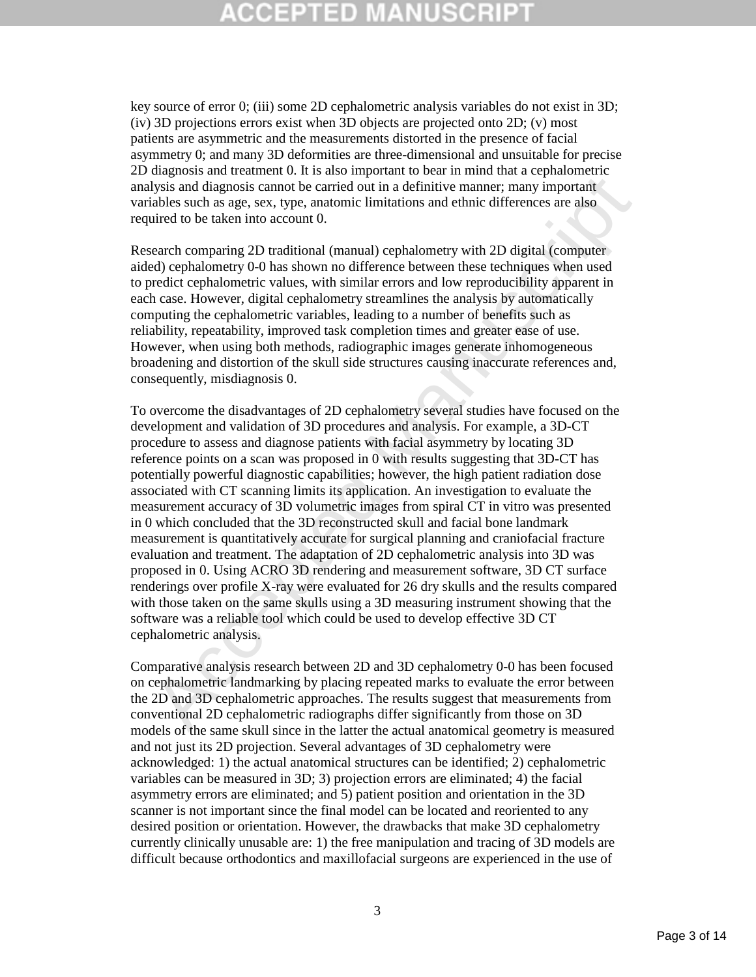# GEPTED

key source of error 0; (iii) some 2D cephalometric analysis variables do not exist in 3D; (iv) 3D projections errors exist when 3D objects are projected onto 2D; (v) most patients are asymmetric and the measurements distorted in the presence of facial asymmetry 0; and many 3D deformities are three-dimensional and unsuitable for precise 2D diagnosis and treatment 0. It is also important to bear in mind that a cephalometric analysis and diagnosis cannot be carried out in a definitive manner; many important variables such as age, sex, type, anatomic limitations and ethnic differences are also required to be taken into account 0.

Research comparing 2D traditional (manual) cephalometry with 2D digital (computer aided) cephalometry 0-0 has shown no difference between these techniques when used to predict cephalometric values, with similar errors and low reproducibility apparent in each case. However, digital cephalometry streamlines the analysis by automatically computing the cephalometric variables, leading to a number of benefits such as reliability, repeatability, improved task completion times and greater ease of use. However, when using both methods, radiographic images generate inhomogeneous broadening and distortion of the skull side structures causing inaccurate references and, consequently, misdiagnosis 0.

onguous that of a state state of the since the contribution and the control and the state of the state of the state of the resulted with a definitive manner; many important is also interest are sex, type, and<br>onic is and d To overcome the disadvantages of 2D cephalometry several studies have focused on the development and validation of 3D procedures and analysis. For example, a 3D-CT procedure to assess and diagnose patients with facial asymmetry by locating 3D reference points on a scan was proposed in 0 with results suggesting that 3D-CT has potentially powerful diagnostic capabilities; however, the high patient radiation dose associated with CT scanning limits its application. An investigation to evaluate the measurement accuracy of 3D volumetric images from spiral CT in vitro was presented in 0 which concluded that the 3D reconstructed skull and facial bone landmark measurement is quantitatively accurate for surgical planning and craniofacial fracture evaluation and treatment. The adaptation of 2D cephalometric analysis into 3D was proposed in 0. Using ACRO 3D rendering and measurement software, 3D CT surface renderings over profile X-ray were evaluated for 26 dry skulls and the results compared with those taken on the same skulls using a 3D measuring instrument showing that the software was a reliable tool which could be used to develop effective 3D CT cephalometric analysis.

Comparative analysis research between 2D and 3D cephalometry 0-0 has been focused on cephalometric landmarking by placing repeated marks to evaluate the error between the 2D and 3D cephalometric approaches. The results suggest that measurements from conventional 2D cephalometric radiographs differ significantly from those on 3D models of the same skull since in the latter the actual anatomical geometry is measured and not just its 2D projection. Several advantages of 3D cephalometry were acknowledged: 1) the actual anatomical structures can be identified; 2) cephalometric variables can be measured in 3D; 3) projection errors are eliminated; 4) the facial asymmetry errors are eliminated; and 5) patient position and orientation in the 3D scanner is not important since the final model can be located and reoriented to any desired position or orientation. However, the drawbacks that make 3D cephalometry currently clinically unusable are: 1) the free manipulation and tracing of 3D models are difficult because orthodontics and maxillofacial surgeons are experienced in the use of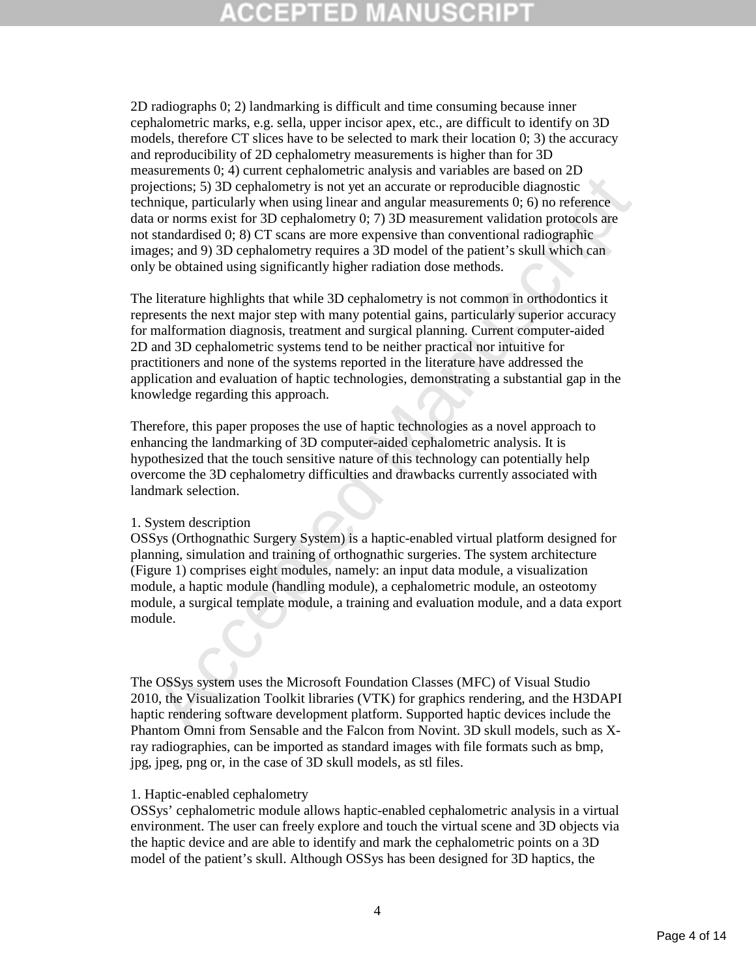2D radiographs 0; 2) landmarking is difficult and time consuming because inner cephalometric marks, e.g. sella, upper incisor apex, etc., are difficult to identify on 3D models, therefore CT slices have to be selected to mark their location 0; 3) the accuracy and reproducibility of 2D cephalometry measurements is higher than for 3D measurements 0; 4) current cephalometric analysis and variables are based on 2D projections; 5) 3D cephalometry is not yet an accurate or reproducible diagnostic technique, particularly when using linear and angular measurements 0; 6) no reference data or norms exist for 3D cephalometry 0; 7) 3D measurement validation protocols are not standardised 0; 8) CT scans are more expensive than conventional radiographic images; and 9) 3D cephalometry requires a 3D model of the patient's skull which can only be obtained using significantly higher radiation dose methods.

Extendential of 3D cephalometry is not yet an accurate or reproducible diagnostic<br>discussions, 5) 3D cephalometry is not yet an accurate or reproducible diagnostic<br>inciding, particularly when using linear and dangler measu The literature highlights that while 3D cephalometry is not common in orthodontics it represents the next major step with many potential gains, particularly superior accuracy for malformation diagnosis, treatment and surgical planning. Current computer-aided 2D and 3D cephalometric systems tend to be neither practical nor intuitive for practitioners and none of the systems reported in the literature have addressed the application and evaluation of haptic technologies, demonstrating a substantial gap in the knowledge regarding this approach.

Therefore, this paper proposes the use of haptic technologies as a novel approach to enhancing the landmarking of 3D computer-aided cephalometric analysis. It is hypothesized that the touch sensitive nature of this technology can potentially help overcome the 3D cephalometry difficulties and drawbacks currently associated with landmark selection.

#### 1. System description

OSSys (Orthognathic Surgery System) is a haptic-enabled virtual platform designed for planning, simulation and training of orthognathic surgeries. The system architecture (Figure 1) comprises eight modules, namely: an input data module, a visualization module, a haptic module (handling module), a cephalometric module, an osteotomy module, a surgical template module, a training and evaluation module, and a data export module.

The OSSys system uses the Microsoft Foundation Classes (MFC) of Visual Studio 2010, the Visualization Toolkit libraries (VTK) for graphics rendering, and the H3DAPI haptic rendering software development platform. Supported haptic devices include the Phantom Omni from Sensable and the Falcon from Novint. 3D skull models, such as Xray radiographies, can be imported as standard images with file formats such as bmp, jpg, jpeg, png or, in the case of 3D skull models, as stl files.

### 1. Haptic-enabled cephalometry

OSSys' cephalometric module allows haptic-enabled cephalometric analysis in a virtual environment. The user can freely explore and touch the virtual scene and 3D objects via the haptic device and are able to identify and mark the cephalometric points on a 3D model of the patient's skull. Although OSSys has been designed for 3D haptics, the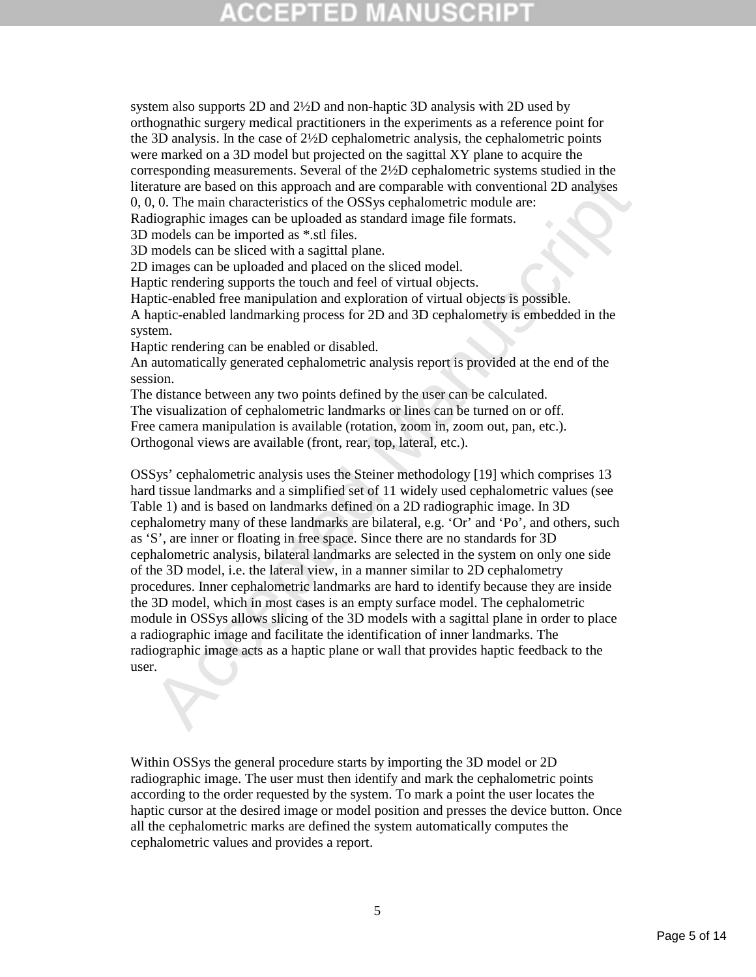system also supports 2D and 2½D and non-haptic 3D analysis with 2D used by orthognathic surgery medical practitioners in the experiments as a reference point for the 3D analysis. In the case of 2½D cephalometric analysis, the cephalometric points were marked on a 3D model but projected on the sagittal XY plane to acquire the corresponding measurements. Several of the 2½D cephalometric systems studied in the literature are based on this approach and are comparable with conventional 2D analyses 0, 0, 0. The main characteristics of the OSSys cephalometric module are:

Radiographic images can be uploaded as standard image file formats.

3D models can be imported as \*.stl files.

3D models can be sliced with a sagittal plane.

2D images can be uploaded and placed on the sliced model.

Haptic rendering supports the touch and feel of virtual objects.

Haptic-enabled free manipulation and exploration of virtual objects is possible.

A haptic-enabled landmarking process for 2D and 3D cephalometry is embedded in the system.

Haptic rendering can be enabled or disabled.

An automatically generated cephalometric analysis report is provided at the end of the session.

The distance between any two points defined by the user can be calculated.

The visualization of cephalometric landmarks or lines can be turned on or off.

Free camera manipulation is available (rotation, zoom in, zoom out, pan, etc.).

Orthogonal views are available (front, rear, top, lateral, etc.).

exponding measurements. Device the other and expression and exponential and the comparable with conventional 2D analyses change that the OSSys cephalometric module are:<br>
trature are based on this approach and are comparab OSSys' cephalometric analysis uses the Steiner methodology [19] which comprises 13 hard tissue landmarks and a simplified set of 11 widely used cephalometric values (see Table 1) and is based on landmarks defined on a 2D radiographic image. In 3D cephalometry many of these landmarks are bilateral, e.g. 'Or' and 'Po', and others, such as 'S', are inner or floating in free space. Since there are no standards for 3D cephalometric analysis, bilateral landmarks are selected in the system on only one side of the 3D model, i.e. the lateral view, in a manner similar to 2D cephalometry procedures. Inner cephalometric landmarks are hard to identify because they are inside the 3D model, which in most cases is an empty surface model. The cephalometric module in OSSys allows slicing of the 3D models with a sagittal plane in order to place a radiographic image and facilitate the identification of inner landmarks. The radiographic image acts as a haptic plane or wall that provides haptic feedback to the user.

Within OSSys the general procedure starts by importing the 3D model or 2D radiographic image. The user must then identify and mark the cephalometric points according to the order requested by the system. To mark a point the user locates the haptic cursor at the desired image or model position and presses the device button. Once all the cephalometric marks are defined the system automatically computes the cephalometric values and provides a report.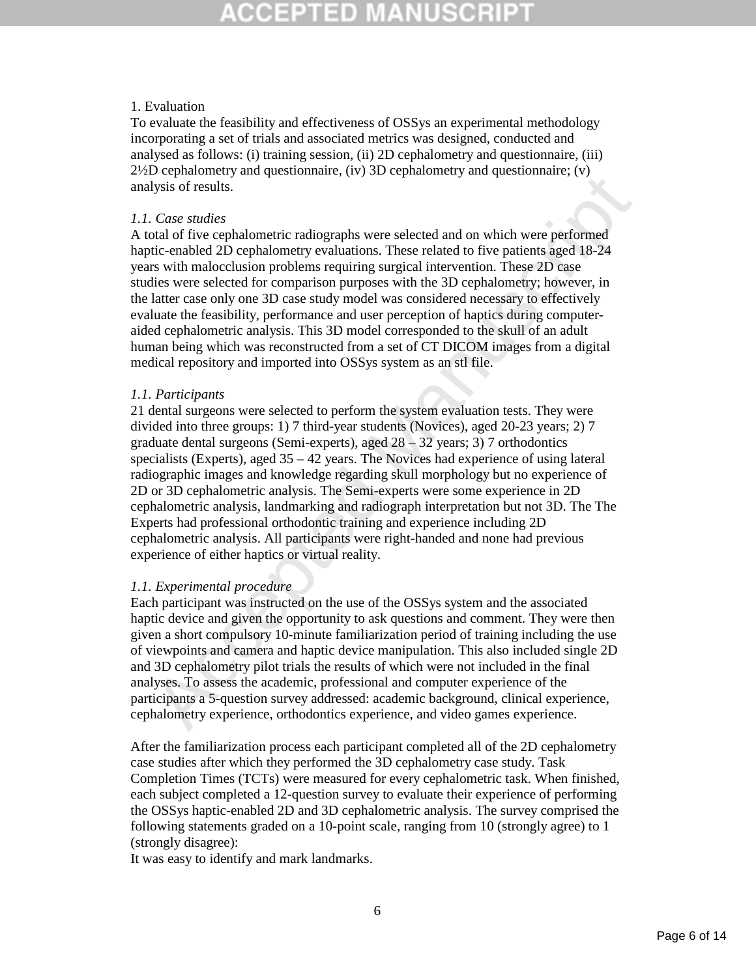### 1. Evaluation

To evaluate the feasibility and effectiveness of OSSys an experimental methodology incorporating a set of trials and associated metrics was designed, conducted and analysed as follows: (i) training session, (ii) 2D cephalometry and questionnaire, (iii)  $2\frac{1}{2}$ D cephalometry and questionnaire, (iv) 3D cephalometry and questionnaire; (v) analysis of results.

## *1.1. Case studies*

A total of five cephalometric radiographs were selected and on which were performed haptic-enabled 2D cephalometry evaluations. These related to five patients aged 18-24 years with malocclusion problems requiring surgical intervention. These 2D case studies were selected for comparison purposes with the 3D cephalometry; however, in the latter case only one 3D case study model was considered necessary to effectively evaluate the feasibility, performance and user perception of haptics during computeraided cephalometric analysis. This 3D model corresponded to the skull of an adult human being which was reconstructed from a set of CT DICOM images from a digital medical repository and imported into OSSys system as an stl file.

### *1.1. Participants*

 $\nu$  coparatority and question matrix (i.v.)  $\infty$  explanancely and questionmate; (i.v.)<br>Usis of results.<br>
Case studies<br>
Case studies (i.e.) explanance in explanations. These related to five partients aged 18-24<br>
invisor 21 dental surgeons were selected to perform the system evaluation tests. They were divided into three groups: 1) 7 third-year students (Novices), aged 20-23 years; 2) 7 graduate dental surgeons (Semi-experts), aged  $28 - 32$  years; 3) 7 orthodontics specialists (Experts), aged  $35 - 42$  years. The Novices had experience of using lateral radiographic images and knowledge regarding skull morphology but no experience of 2D or 3D cephalometric analysis. The Semi-experts were some experience in 2D cephalometric analysis, landmarking and radiograph interpretation but not 3D. The The Experts had professional orthodontic training and experience including 2D cephalometric analysis. All participants were right-handed and none had previous experience of either haptics or virtual reality.

## *1.1. Experimental procedure*

Each participant was instructed on the use of the OSSys system and the associated haptic device and given the opportunity to ask questions and comment. They were then given a short compulsory 10-minute familiarization period of training including the use of viewpoints and camera and haptic device manipulation. This also included single 2D and 3D cephalometry pilot trials the results of which were not included in the final analyses. To assess the academic, professional and computer experience of the participants a 5-question survey addressed: academic background, clinical experience, cephalometry experience, orthodontics experience, and video games experience.

After the familiarization process each participant completed all of the 2D cephalometry case studies after which they performed the 3D cephalometry case study. Task Completion Times (TCTs) were measured for every cephalometric task. When finished, each subject completed a 12-question survey to evaluate their experience of performing the OSSys haptic-enabled 2D and 3D cephalometric analysis. The survey comprised the following statements graded on a 10-point scale, ranging from 10 (strongly agree) to 1 (strongly disagree):

It was easy to identify and mark landmarks.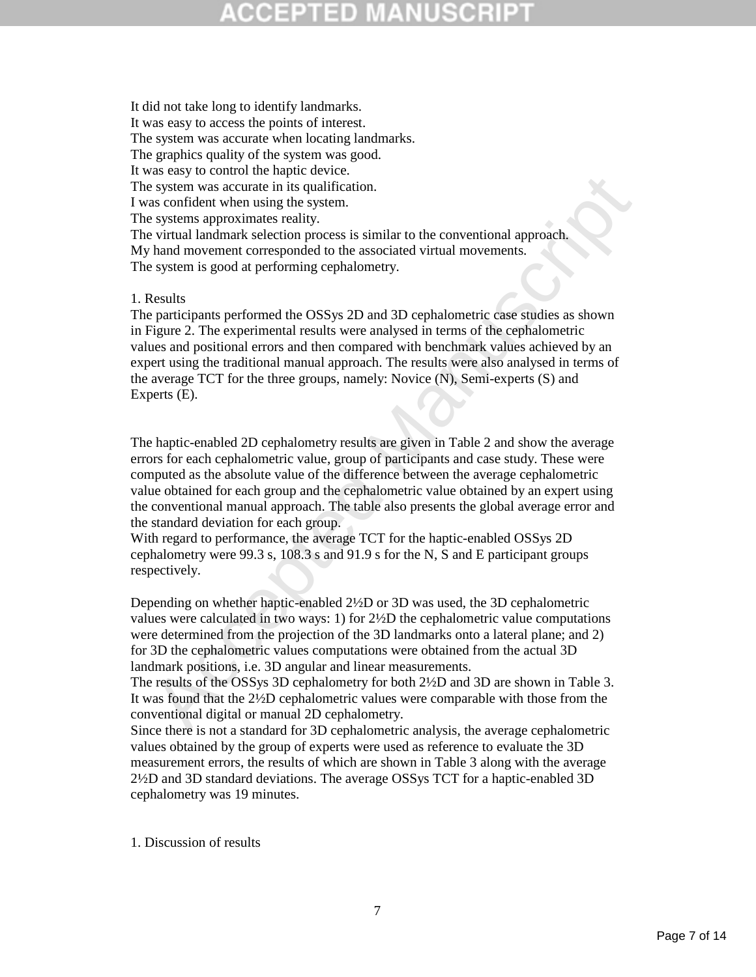It did not take long to identify landmarks. It was easy to access the points of interest. The system was accurate when locating landmarks. The graphics quality of the system was good. It was easy to control the haptic device. The system was accurate in its qualification. I was confident when using the system. The systems approximates reality. The virtual landmark selection process is similar to the conventional approach. My hand movement corresponded to the associated virtual movements. The system is good at performing cephalometry.

### 1. Results

as esonflott when using the overe.<br>
So system was accurate in its qualification.<br>
So system was accurate in its qualification.<br>
Y systems approximates reality.<br>
Y virtual landmark selection process is similar to the conve The participants performed the OSSys 2D and 3D cephalometric case studies as shown in Figure 2. The experimental results were analysed in terms of the cephalometric values and positional errors and then compared with benchmark values achieved by an expert using the traditional manual approach. The results were also analysed in terms of the average TCT for the three groups, namely: Novice (N), Semi-experts (S) and Experts (E).

The haptic-enabled 2D cephalometry results are given in Table 2 and show the average errors for each cephalometric value, group of participants and case study. These were computed as the absolute value of the difference between the average cephalometric value obtained for each group and the cephalometric value obtained by an expert using the conventional manual approach. The table also presents the global average error and the standard deviation for each group.

With regard to performance, the average TCT for the haptic-enabled OSSys 2D cephalometry were 99.3 s, 108.3 s and 91.9 s for the N, S and E participant groups respectively.

Depending on whether haptic-enabled 2½D or 3D was used, the 3D cephalometric values were calculated in two ways: 1) for 2½D the cephalometric value computations were determined from the projection of the 3D landmarks onto a lateral plane; and 2) for 3D the cephalometric values computations were obtained from the actual 3D landmark positions, i.e. 3D angular and linear measurements.

The results of the OSSys 3D cephalometry for both 2½D and 3D are shown in Table 3. It was found that the 2½D cephalometric values were comparable with those from the conventional digital or manual 2D cephalometry.

Since there is not a standard for 3D cephalometric analysis, the average cephalometric values obtained by the group of experts were used as reference to evaluate the 3D measurement errors, the results of which are shown in Table 3 along with the average 2½D and 3D standard deviations. The average OSSys TCT for a haptic-enabled 3D cephalometry was 19 minutes.

1. Discussion of results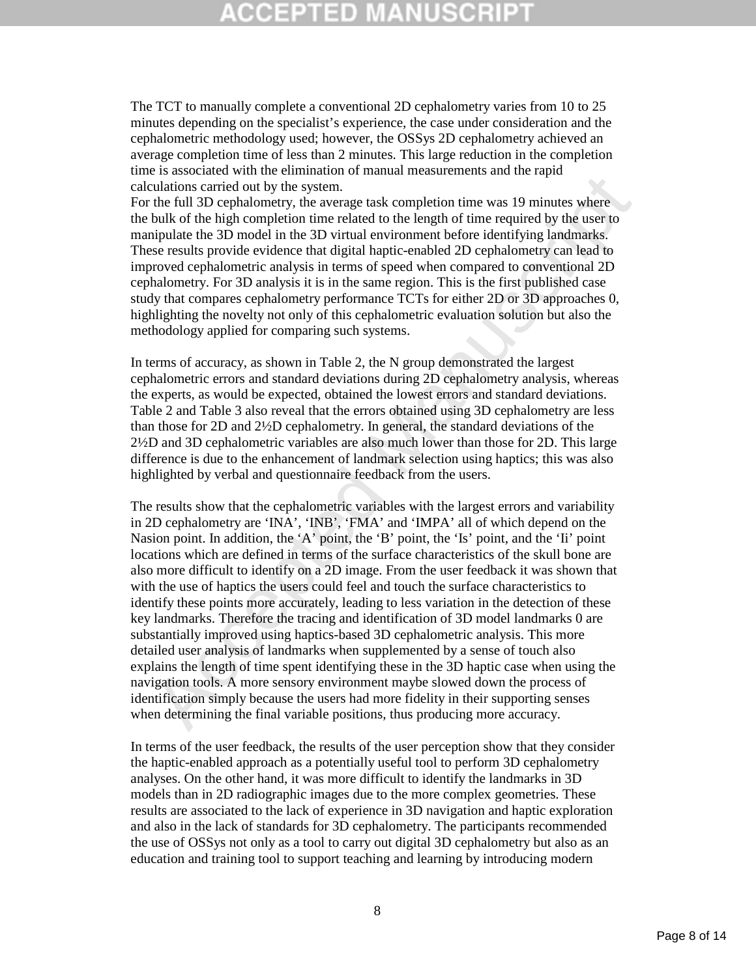# ΞĐ

The TCT to manually complete a conventional 2D cephalometry varies from 10 to 25 minutes depending on the specialist's experience, the case under consideration and the cephalometric methodology used; however, the OSSys 2D cephalometry achieved an average completion time of less than 2 minutes. This large reduction in the completion time is associated with the elimination of manual measurements and the rapid calculations carried out by the system.

For the full 3D cephalometry, the average task completion time was 19 minutes where the bulk of the high completion time related to the length of time required by the user to manipulate the 3D model in the 3D virtual environment before identifying landmarks. These results provide evidence that digital haptic-enabled 2D cephalometry can lead to improved cephalometric analysis in terms of speed when compared to conventional 2D cephalometry. For 3D analysis it is in the same region. This is the first published case study that compares cephalometry performance TCTs for either 2D or 3D approaches 0, highlighting the novelty not only of this cephalometric evaluation solution but also the methodology applied for comparing such systems.

In terms of accuracy, as shown in Table 2, the N group demonstrated the largest cephalometric errors and standard deviations during 2D cephalometry analysis, whereas the experts, as would be expected, obtained the lowest errors and standard deviations. Table 2 and Table 3 also reveal that the errors obtained using 3D cephalometry are less than those for 2D and 2½D cephalometry. In general, the standard deviations of the 2½D and 3D cephalometric variables are also much lower than those for 2D. This large difference is due to the enhancement of landmark selection using haptics; this was also highlighted by verbal and questionnaire feedback from the users.

De also want and standard methanical or the standard methanic standard with the full 3D cophalometry, the average task completion time was 19 minutes where the thal 3D cophalometry, the average task completion time was 19 The results show that the cephalometric variables with the largest errors and variability in 2D cephalometry are 'INA', 'INB', 'FMA' and 'IMPA' all of which depend on the Nasion point. In addition, the 'A' point, the 'B' point, the 'Is' point, and the 'Ii' point locations which are defined in terms of the surface characteristics of the skull bone are also more difficult to identify on a 2D image. From the user feedback it was shown that with the use of haptics the users could feel and touch the surface characteristics to identify these points more accurately, leading to less variation in the detection of these key landmarks. Therefore the tracing and identification of 3D model landmarks 0 are substantially improved using haptics-based 3D cephalometric analysis. This more detailed user analysis of landmarks when supplemented by a sense of touch also explains the length of time spent identifying these in the 3D haptic case when using the navigation tools. A more sensory environment maybe slowed down the process of identification simply because the users had more fidelity in their supporting senses when determining the final variable positions, thus producing more accuracy.

In terms of the user feedback, the results of the user perception show that they consider the haptic-enabled approach as a potentially useful tool to perform 3D cephalometry analyses. On the other hand, it was more difficult to identify the landmarks in 3D models than in 2D radiographic images due to the more complex geometries. These results are associated to the lack of experience in 3D navigation and haptic exploration and also in the lack of standards for 3D cephalometry. The participants recommended the use of OSSys not only as a tool to carry out digital 3D cephalometry but also as an education and training tool to support teaching and learning by introducing modern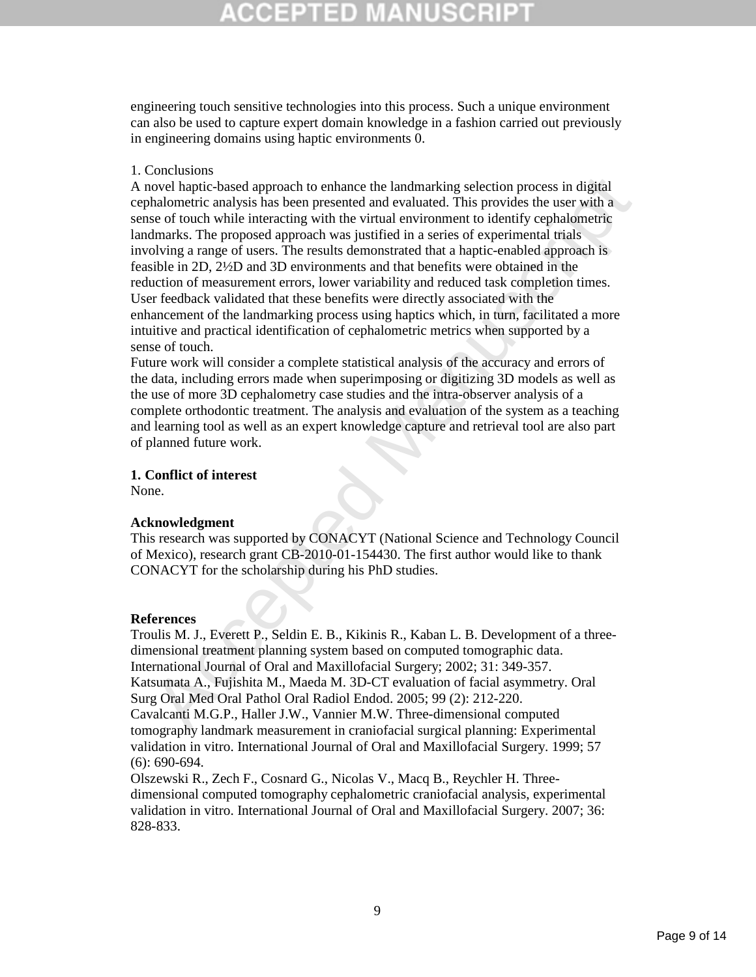engineering touch sensitive technologies into this process. Such a unique environment can also be used to capture expert domain knowledge in a fashion carried out previously in engineering domains using haptic environments 0.

### 1. Conclusions

Contains<br>to the state approach to enhance the landmarking selection process in digital<br>halomotric analysis has been presented and valuated. This provides the user with a<br>halomotric analysis has been presented and valuated. A novel haptic-based approach to enhance the landmarking selection process in digital cephalometric analysis has been presented and evaluated. This provides the user with a sense of touch while interacting with the virtual environment to identify cephalometric landmarks. The proposed approach was justified in a series of experimental trials involving a range of users. The results demonstrated that a haptic-enabled approach is feasible in 2D, 2½D and 3D environments and that benefits were obtained in the reduction of measurement errors, lower variability and reduced task completion times. User feedback validated that these benefits were directly associated with the enhancement of the landmarking process using haptics which, in turn, facilitated a more intuitive and practical identification of cephalometric metrics when supported by a sense of touch.

Future work will consider a complete statistical analysis of the accuracy and errors of the data, including errors made when superimposing or digitizing 3D models as well as the use of more 3D cephalometry case studies and the intra-observer analysis of a complete orthodontic treatment. The analysis and evaluation of the system as a teaching and learning tool as well as an expert knowledge capture and retrieval tool are also part of planned future work.

## **1. Conflict of interest**

None.

### **Acknowledgment**

This research was supported by CONACYT (National Science and Technology Council of Mexico), research grant CB-2010-01-154430. The first author would like to thank CONACYT for the scholarship during his PhD studies.

#### **References**

Troulis M. J., Everett P., Seldin E. B., Kikinis R., Kaban L. B. Development of a threedimensional treatment planning system based on computed tomographic data. International Journal of Oral and Maxillofacial Surgery; 2002; 31: 349-357. Katsumata A., Fujishita M., Maeda M. 3D-CT evaluation of facial asymmetry. Oral Surg Oral Med Oral Pathol Oral Radiol Endod. 2005; 99 (2): 212-220. Cavalcanti M.G.P., Haller J.W., Vannier M.W. Three-dimensional computed tomography landmark measurement in craniofacial surgical planning: Experimental validation in vitro. International Journal of Oral and Maxillofacial Surgery. 1999; 57  $(6)$ : 690-694.

Olszewski R., Zech F., Cosnard G., Nicolas V., Macq B., Reychler H. Threedimensional computed tomography cephalometric craniofacial analysis, experimental validation in vitro. International Journal of Oral and Maxillofacial Surgery. 2007; 36: 828-833.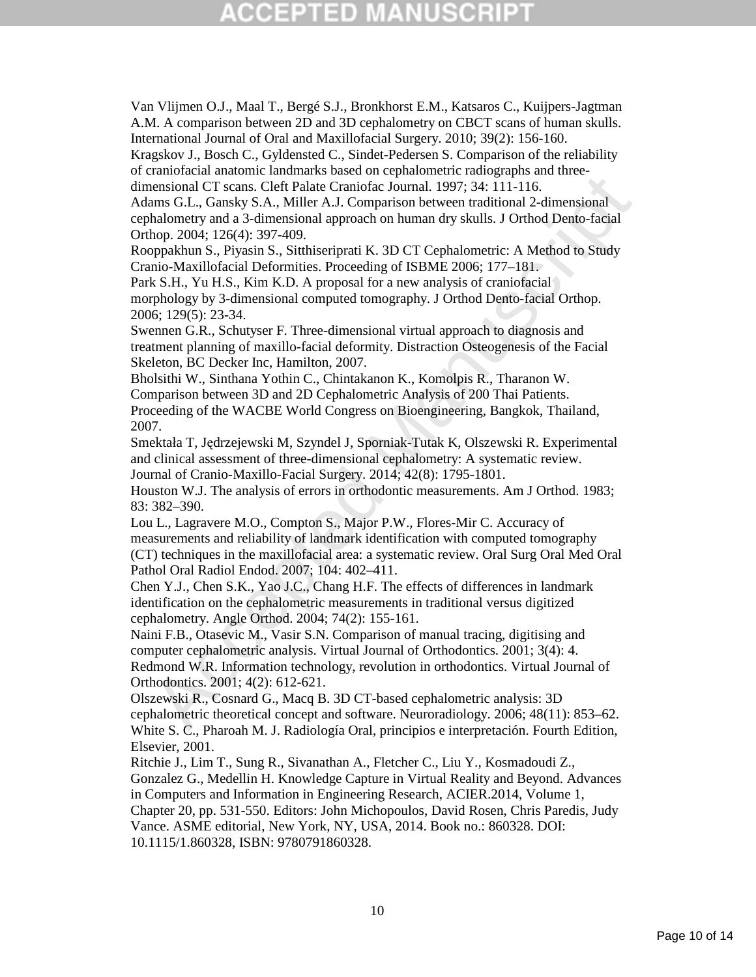# (CEPTED)

Van Vlijmen O.J., Maal T., Bergé S.J., Bronkhorst E.M., Katsaros C., Kuijpers-Jagtman A.M. A comparison between 2D and 3D cephalometry on CBCT scans of human skulls. International Journal of Oral and Maxillofacial Surgery. 2010; 39(2): 156-160.

Kragskov J., Bosch C., Gyldensted C., Sindet-Pedersen S. Comparison of the reliability of craniofacial anatomic landmarks based on cephalometric radiographs and threedimensional CT scans. Cleft Palate Craniofac Journal. 1997; 34: 111-116.

Adams G.L., Gansky S.A., Miller A.J. Comparison between traditional 2-dimensional cephalometry and a 3-dimensional approach on human dry skulls. J Orthod Dento-facial Orthop. 2004; 126(4): 397-409.

Rooppakhun S., Piyasin S., Sitthiseriprati K. 3D CT Cephalometric: A Method to Study Cranio-Maxillofacial Deformities. Proceeding of ISBME 2006; 177–181.

Park S.H., Yu H.S., Kim K.D. A proposal for a new analysis of craniofacial morphology by 3-dimensional computed tomography. J Orthod Dento-facial Orthop. 2006; 129(5): 23-34.

Swennen G.R., Schutyser F. Three-dimensional virtual approach to diagnosis and treatment planning of maxillo-facial deformity. Distraction Osteogenesis of the Facial Skeleton, BC Decker Inc, Hamilton, 2007.

Bholsithi W., Sinthana Yothin C., Chintakanon K., Komolpis R., Tharanon W. Comparison between 3D and 2D Cephalometric Analysis of 200 Thai Patients. Proceeding of the WACBE World Congress on Bioengineering, Bangkok, Thailand, 2007.

Smektała T, Jędrzejewski M, Szyndel J, Sporniak-Tutak K, Olszewski R. Experimental and clinical assessment of three-dimensional cephalometry: A systematic review. Journal of Cranio-Maxillo-Facial Surgery. 2014; 42(8): 1795-1801.

Houston W.J. The analysis of errors in orthodontic measurements. Am J Orthod. 1983; 83: 382–390.

Manuscrian Calmentalisation (Findmanuscrian Case) and the memberican Case, Generalisation (CT scans, Cleft Palate Cramiofac Journal 1997; 34: 111-116.<br>
Malometry and a 3-dimensional approach on human dry skulls. I Orthod D Lou L., Lagravere M.O., Compton S., Major P.W., Flores-Mir C. Accuracy of measurements and reliability of landmark identification with computed tomography (CT) techniques in the maxillofacial area: a systematic review. Oral Surg Oral Med Oral Pathol Oral Radiol Endod. 2007; 104: 402–411.

Chen Y.J., Chen S.K., Yao J.C., Chang H.F. The effects of differences in landmark identification on the cephalometric measurements in traditional versus digitized cephalometry. Angle Orthod. 2004; 74(2): 155-161.

Naini F.B., Otasevic M., Vasir S.N. Comparison of manual tracing, digitising and computer cephalometric analysis. Virtual Journal of Orthodontics. 2001; 3(4): 4. Redmond W.R. Information technology, revolution in orthodontics. Virtual Journal of Orthodontics. 2001; 4(2): 612-621.

Olszewski R., Cosnard G., Macq B. 3D CT-based cephalometric analysis: 3D cephalometric theoretical concept and software. Neuroradiology. 2006; 48(11): 853–62. White S. C., Pharoah M. J. Radiología Oral, principios e interpretación. Fourth Edition, Elsevier, 2001.

Ritchie J., Lim T., Sung R., Sivanathan A., Fletcher C., Liu Y., Kosmadoudi Z., Gonzalez G., Medellin H. Knowledge Capture in Virtual Reality and Beyond. Advances in Computers and Information in Engineering Research, ACIER.2014, Volume 1, Chapter 20, pp. 531-550. Editors: John Michopoulos, David Rosen, Chris Paredis, Judy Vance. ASME editorial, New York, NY, USA, 2014. Book no.: 860328. DOI: 10.1115/1.860328, ISBN: 9780791860328.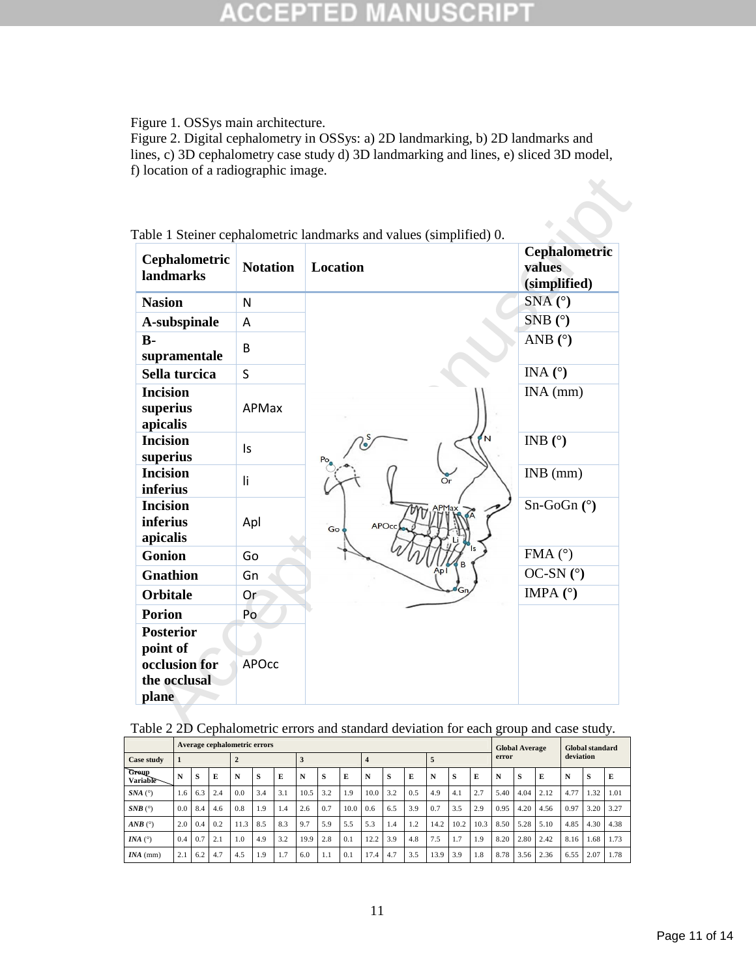#### SCRI B CCEPT ED  $\overline{\tau}$

Figure 1. OSSys main architecture.

Figure 2. Digital cephalometry in OSSys: a) 2D landmarking, b) 2D landmarks and lines, c) 3D cephalometry case study d) 3D landmarking and lines, e) sliced 3D model, f) location of a radiographic image.

| Cephalometric<br><b>landmarks</b>              | <b>Notation</b> | <b>Location</b>    | Cephalometric<br>values<br>(simplified) |
|------------------------------------------------|-----------------|--------------------|-----------------------------------------|
| <b>Nasion</b>                                  | N               |                    | $SNA(^{\circ})$                         |
| A-subspinale                                   | A               |                    | SNB $(^{\circ})$                        |
| $B -$<br>supramentale                          | B               |                    | ANB $(^{\circ})$                        |
| Sella turcica                                  | S               |                    | INA $(^\circ)$                          |
| <b>Incision</b><br>superius<br>apicalis        | APMax           |                    | $INA$ (mm)                              |
| <b>Incision</b><br>superius                    | Is              |                    | INB $(°)$<br>N                          |
| <b>Incision</b><br><i>inferius</i>             | li              | $\sum_{r}$         | $INB$ (mm)                              |
| <b>Incision</b><br><i>inferius</i><br>apicalis | Apl             | <b>APOco</b><br>Go | $Sn-GoGn$ ( $°$ )                       |
| <b>Gonion</b>                                  | Go              |                    | FMA $(^{\circ})$                        |
| <b>Gnathion</b>                                | Gn              |                    | OC-SN $(°)$                             |
| <b>Orbitale</b>                                | Or <sup></sup>  |                    | IMPA $(°)$                              |
| <b>Porion</b>                                  | Po              |                    |                                         |
| <b>Posterior</b><br>point of                   |                 |                    |                                         |
| occlusion for<br>the occlusal<br>plane         | <b>APOcc</b>    |                    |                                         |

| Table 2 2D Cephalometric errors and standard deviation for each group and case study. |  |  |  |
|---------------------------------------------------------------------------------------|--|--|--|
|---------------------------------------------------------------------------------------|--|--|--|

|                          |     |     |     | Average cephalometric errors |     |     |      |     |      |                  |     |     |      |      |      |       | <b>Global Average</b> |      |           | Global standard |      |
|--------------------------|-----|-----|-----|------------------------------|-----|-----|------|-----|------|------------------|-----|-----|------|------|------|-------|-----------------------|------|-----------|-----------------|------|
| Case study               | 1   |     |     | $\overline{2}$               |     |     | 3    |     |      | $\boldsymbol{4}$ |     |     | 5    |      |      | error |                       |      | deviation |                 |      |
| <b>Group</b><br>Variable | N   | -S  | E   | N                            | s   | E   | N    | s   | E    | N                | s   | E   | N    | s    | Е    | N     | S                     | Е    | N         | s               | E    |
| $SNA$ ( $\degree$ )      | 1.6 | 6.3 | 2.4 | 0.0                          | 3.4 | 3.1 | 10.5 | 3.2 | 1.9  | 10.0             | 3.2 | 0.5 | 4.9  | 4.1  | 2.7  | 5.40  | 4.04                  | 2.12 | 4.77      | 1.32            | 1.01 |
| $SNB$ ( $\degree$ )      | 0.0 | 8.4 | 4.6 | 0.8                          | 1.9 | 1.4 | 2.6  | 0.7 | 10.0 | 0.6              | 6.5 | 3.9 | 0.7  | 3.5  | 2.9  | 0.95  | 4.20                  | 4.56 | 0.97      | 3.20            | 3.27 |
| $ANB$ (°)                | 2.0 | 0.4 | 0.2 | 11.3                         | 8.5 | 8.3 | 9.7  | 5.9 | 5.5  | 5.3              | 1.4 | 1.2 | 14.2 | 10.2 | 10.3 | 8.50  | 5.28                  | 5.10 | 4.85      | 4.30            | 4.38 |
| INA $(^\circ)$           | 0.4 | 0.7 | 2.1 | 1.0                          | 4.9 | 3.2 | 19.9 | 2.8 | 0.1  | 12.2             | 3.9 | 4.8 | 7.5  | 1.7  | 1.9  | 8.20  | 2.80                  | 2.42 | 8.16      | 1.68            | 1.73 |
| $INA$ (mm)               | 2.1 | 6.2 | 4.7 | 4.5                          | 1.9 | 1.7 | 6.0  | 1.1 | 0.1  | 17.4             | 4.7 | 3.5 | 13.9 | 3.9  | 1.8  | 8.78  | 3.56                  | 2.36 | 6.55      | 2.07            | 1.78 |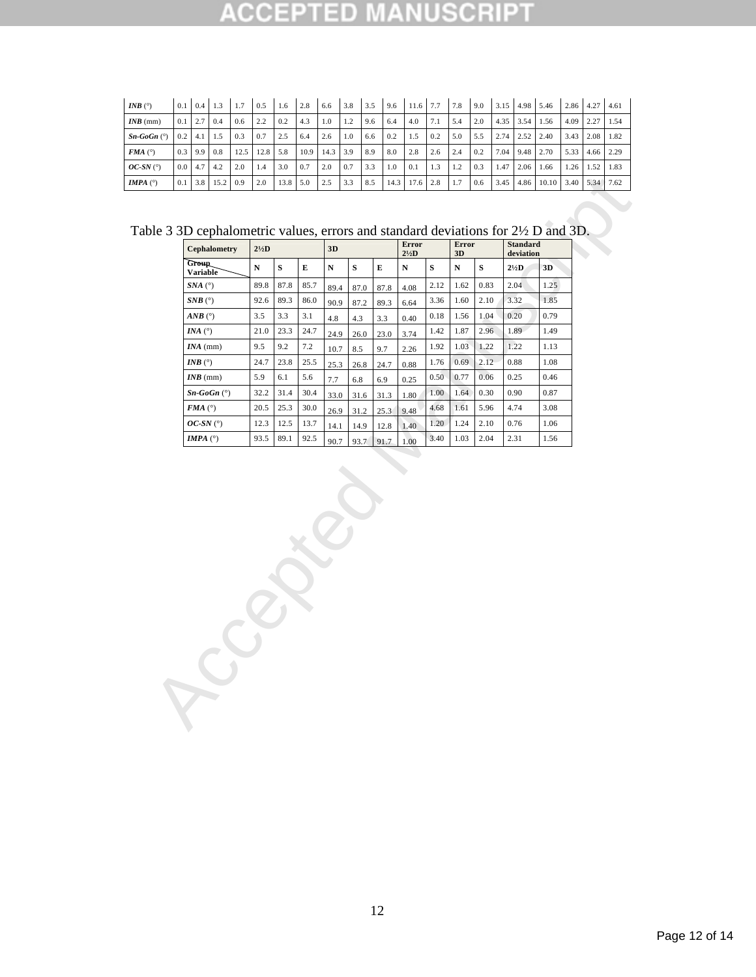| <i>INB</i> $(°)$         |               | $0.1 \quad 0.4 \quad 1.3$ |                  | 1.7  | $\sqrt{0.5}$ | 1.6  | 2.8  | 6.6  | 3.8 | 3.5 | 9.6 | 11.6 7.7 7.8    |     |     | 9.0 | $3.15$ 4.98 5.46 |      |       | $2.86$ 4.27 4.61 |           |       |
|--------------------------|---------------|---------------------------|------------------|------|--------------|------|------|------|-----|-----|-----|-----------------|-----|-----|-----|------------------|------|-------|------------------|-----------|-------|
| $INB$ (mm)               | 0.1           | 12.7                      | 0.4              | 0.6  | 2.2          | 0.2  | 4.3  | 1.0  | 1.2 | 9.6 | 6.4 | 4.0             | 7.1 | 5.4 | 2.0 | 4.35             | 3.54 | 1.56  | 4.09             | 2.27      | 1.54  |
| $Sn-GoGn$ ( $\degree$ )  | 0.2           | 4.1                       | 1.5              | 0.3  | 0.7          | 2.5  | 6.4  | 2.6  | 1.0 | 6.6 | 0.2 | 1.5             | 0.2 | 5.0 | 5.5 | 2.74             | 2.52 | 2.40  | 3.43             | 2.08      | 1.82  |
| $FMA$ (°)                | $0.3 \pm 9.9$ |                           | 0.8              | 12.5 | 12.8         | 5.8  | 10.9 | 14.3 | 3.9 | 8.9 | 8.0 | 2.8             | 2.6 | 2.4 | 0.2 | 7.04             | 9.48 | 2.70  | 5.33             | 4.66 2.29 |       |
| $OC-SN$ ( $\circ$ )      | 0.0           | 4.7                       | 4.2              | 2.0  | 1.4          | 3.0  | 0.7  | 2.0  | 0.7 | 3.3 | 1.0 | 0.1             | 1.3 | 1.2 | 0.3 | 1.47             | 2.06 | 1.66  | 1.26             | 1.52      | 1.83  |
| <b>IMPA</b> $(^{\circ})$ | 0.1           | 3.8                       | $15.2 \quad 0.9$ |      | 2.0          | 13.8 | 5.0  | 2.5  | 3.3 | 8.5 |     | $14.3$ 17.6 2.8 |     | 1.7 | 0.6 | 3.45             | 4.86 | 10.10 | 3.40             | 5.34      | 17.62 |

Table 3 3D cephalometric values, errors and standard deviations for 2½ D and 3D.

| <b>Error</b><br><b>Error</b><br><b>Standard</b><br>$2\frac{1}{2}D$<br>3D<br>$2\frac{1}{2}$ D<br>3D<br>deviation<br>$\mathbf S$<br>$\mathbf S$<br>$\mathbf S$<br>${\bf E}$<br>${\bf S}$<br>${\bf E}$<br>$\mathbf N$<br>3D<br>$\mathbf N$<br>${\bf N}$<br>${\bf N}$<br>$2\frac{1}{2}D$<br>87.8<br>85.7<br>2.12<br>1.62<br>2.04<br>1.25<br>89.8<br>0.83<br>89.4<br>4.08<br>87.0<br>87.8<br>86.0<br>3.32<br>1.85<br>92.6<br>89.3<br>3.36<br>1.60<br>2.10<br>90.9<br>87.2<br>89.3<br>6.64<br>1.04<br>3.5<br>3.3<br>3.1<br>0.18<br>1.56<br>0.20<br>0.79<br>4.8<br>0.40<br>4.3<br>3.3<br>23.3<br>24.7<br>1.87<br>2.96<br>1.89<br>21.0<br>1.42<br>1.49<br>3.74<br>24.9<br>26.0<br>23.0<br>9.5<br>9.2<br>7.2<br>1.92<br>1.03<br>1.22<br>1.22<br>1.13<br>9.7<br>2.26<br>10.7<br>8.5<br>25.5<br>2.12<br>0.88<br>24.7<br>23.8<br>1.76<br>0.69<br>1.08<br>25.3<br>26.8<br>24.7<br>0.88<br>5.9<br>6.1<br>0.50<br>0.77<br>0.06<br>0.25<br>0.46<br>5.6<br>7.7<br>0.25<br>6.8<br>6.9<br>32.2<br>31.4<br>30.4<br>1.64<br>0.30<br>0.90<br>0.87<br>1.00<br>33.0<br>31.3<br>1.80<br>31.6<br>25.3<br>5.96<br>4.74<br>20.5<br>30.0<br>4.68<br>1.61<br>3.08<br>26.9<br>31.2<br>25.3<br>9.48<br>12.3<br>12.5<br>13.7<br>1.20<br>1.24<br>2.10<br>0.76<br>1.06<br>14.1<br>14.9<br>12.8<br>1.40<br>93.5<br>89.1<br>92.5<br>3.40<br>1.03<br>2.04<br>2.31<br>1.56<br>90.7<br>93.7<br>91.7<br>1.00 | ble 3 3D cephalometric values, errors and standard deviations for 2½ D and 3D.<br><b>Cephalometry</b><br><b>Group</b> | Variable<br>$SNA$ ( $^{\circ}$ )<br>$SNB$ ( $^{\circ}$ )<br>$AND$ ( $^{\circ}$ )<br>INA $(^\circ)$<br>$INA$ (mm)<br>INB $(^\circ)$<br>$INB$ (mm)<br>$Sn-GoGn$ ( $°$ )<br>$FMA$ ( $^{\circ}$ )<br>$OC-SN$ (°)<br>IMPA $(°)$ |  |  |  |  |  |  |  |  |
|---------------------------------------------------------------------------------------------------------------------------------------------------------------------------------------------------------------------------------------------------------------------------------------------------------------------------------------------------------------------------------------------------------------------------------------------------------------------------------------------------------------------------------------------------------------------------------------------------------------------------------------------------------------------------------------------------------------------------------------------------------------------------------------------------------------------------------------------------------------------------------------------------------------------------------------------------------------------------------------------------------------------------------------------------------------------------------------------------------------------------------------------------------------------------------------------------------------------------------------------------------------------------------------------------------------------------------------------------------------------|-----------------------------------------------------------------------------------------------------------------------|----------------------------------------------------------------------------------------------------------------------------------------------------------------------------------------------------------------------------|--|--|--|--|--|--|--|--|
|                                                                                                                                                                                                                                                                                                                                                                                                                                                                                                                                                                                                                                                                                                                                                                                                                                                                                                                                                                                                                                                                                                                                                                                                                                                                                                                                                                     |                                                                                                                       |                                                                                                                                                                                                                            |  |  |  |  |  |  |  |  |
|                                                                                                                                                                                                                                                                                                                                                                                                                                                                                                                                                                                                                                                                                                                                                                                                                                                                                                                                                                                                                                                                                                                                                                                                                                                                                                                                                                     |                                                                                                                       |                                                                                                                                                                                                                            |  |  |  |  |  |  |  |  |
|                                                                                                                                                                                                                                                                                                                                                                                                                                                                                                                                                                                                                                                                                                                                                                                                                                                                                                                                                                                                                                                                                                                                                                                                                                                                                                                                                                     |                                                                                                                       |                                                                                                                                                                                                                            |  |  |  |  |  |  |  |  |
|                                                                                                                                                                                                                                                                                                                                                                                                                                                                                                                                                                                                                                                                                                                                                                                                                                                                                                                                                                                                                                                                                                                                                                                                                                                                                                                                                                     |                                                                                                                       |                                                                                                                                                                                                                            |  |  |  |  |  |  |  |  |
|                                                                                                                                                                                                                                                                                                                                                                                                                                                                                                                                                                                                                                                                                                                                                                                                                                                                                                                                                                                                                                                                                                                                                                                                                                                                                                                                                                     |                                                                                                                       |                                                                                                                                                                                                                            |  |  |  |  |  |  |  |  |
|                                                                                                                                                                                                                                                                                                                                                                                                                                                                                                                                                                                                                                                                                                                                                                                                                                                                                                                                                                                                                                                                                                                                                                                                                                                                                                                                                                     |                                                                                                                       |                                                                                                                                                                                                                            |  |  |  |  |  |  |  |  |
|                                                                                                                                                                                                                                                                                                                                                                                                                                                                                                                                                                                                                                                                                                                                                                                                                                                                                                                                                                                                                                                                                                                                                                                                                                                                                                                                                                     |                                                                                                                       |                                                                                                                                                                                                                            |  |  |  |  |  |  |  |  |
|                                                                                                                                                                                                                                                                                                                                                                                                                                                                                                                                                                                                                                                                                                                                                                                                                                                                                                                                                                                                                                                                                                                                                                                                                                                                                                                                                                     |                                                                                                                       |                                                                                                                                                                                                                            |  |  |  |  |  |  |  |  |
|                                                                                                                                                                                                                                                                                                                                                                                                                                                                                                                                                                                                                                                                                                                                                                                                                                                                                                                                                                                                                                                                                                                                                                                                                                                                                                                                                                     |                                                                                                                       |                                                                                                                                                                                                                            |  |  |  |  |  |  |  |  |
|                                                                                                                                                                                                                                                                                                                                                                                                                                                                                                                                                                                                                                                                                                                                                                                                                                                                                                                                                                                                                                                                                                                                                                                                                                                                                                                                                                     |                                                                                                                       |                                                                                                                                                                                                                            |  |  |  |  |  |  |  |  |
|                                                                                                                                                                                                                                                                                                                                                                                                                                                                                                                                                                                                                                                                                                                                                                                                                                                                                                                                                                                                                                                                                                                                                                                                                                                                                                                                                                     |                                                                                                                       |                                                                                                                                                                                                                            |  |  |  |  |  |  |  |  |
|                                                                                                                                                                                                                                                                                                                                                                                                                                                                                                                                                                                                                                                                                                                                                                                                                                                                                                                                                                                                                                                                                                                                                                                                                                                                                                                                                                     |                                                                                                                       |                                                                                                                                                                                                                            |  |  |  |  |  |  |  |  |
|                                                                                                                                                                                                                                                                                                                                                                                                                                                                                                                                                                                                                                                                                                                                                                                                                                                                                                                                                                                                                                                                                                                                                                                                                                                                                                                                                                     |                                                                                                                       |                                                                                                                                                                                                                            |  |  |  |  |  |  |  |  |
|                                                                                                                                                                                                                                                                                                                                                                                                                                                                                                                                                                                                                                                                                                                                                                                                                                                                                                                                                                                                                                                                                                                                                                                                                                                                                                                                                                     |                                                                                                                       |                                                                                                                                                                                                                            |  |  |  |  |  |  |  |  |
|                                                                                                                                                                                                                                                                                                                                                                                                                                                                                                                                                                                                                                                                                                                                                                                                                                                                                                                                                                                                                                                                                                                                                                                                                                                                                                                                                                     |                                                                                                                       |                                                                                                                                                                                                                            |  |  |  |  |  |  |  |  |
|                                                                                                                                                                                                                                                                                                                                                                                                                                                                                                                                                                                                                                                                                                                                                                                                                                                                                                                                                                                                                                                                                                                                                                                                                                                                                                                                                                     |                                                                                                                       |                                                                                                                                                                                                                            |  |  |  |  |  |  |  |  |
|                                                                                                                                                                                                                                                                                                                                                                                                                                                                                                                                                                                                                                                                                                                                                                                                                                                                                                                                                                                                                                                                                                                                                                                                                                                                                                                                                                     |                                                                                                                       |                                                                                                                                                                                                                            |  |  |  |  |  |  |  |  |
|                                                                                                                                                                                                                                                                                                                                                                                                                                                                                                                                                                                                                                                                                                                                                                                                                                                                                                                                                                                                                                                                                                                                                                                                                                                                                                                                                                     |                                                                                                                       |                                                                                                                                                                                                                            |  |  |  |  |  |  |  |  |
|                                                                                                                                                                                                                                                                                                                                                                                                                                                                                                                                                                                                                                                                                                                                                                                                                                                                                                                                                                                                                                                                                                                                                                                                                                                                                                                                                                     |                                                                                                                       |                                                                                                                                                                                                                            |  |  |  |  |  |  |  |  |
|                                                                                                                                                                                                                                                                                                                                                                                                                                                                                                                                                                                                                                                                                                                                                                                                                                                                                                                                                                                                                                                                                                                                                                                                                                                                                                                                                                     |                                                                                                                       |                                                                                                                                                                                                                            |  |  |  |  |  |  |  |  |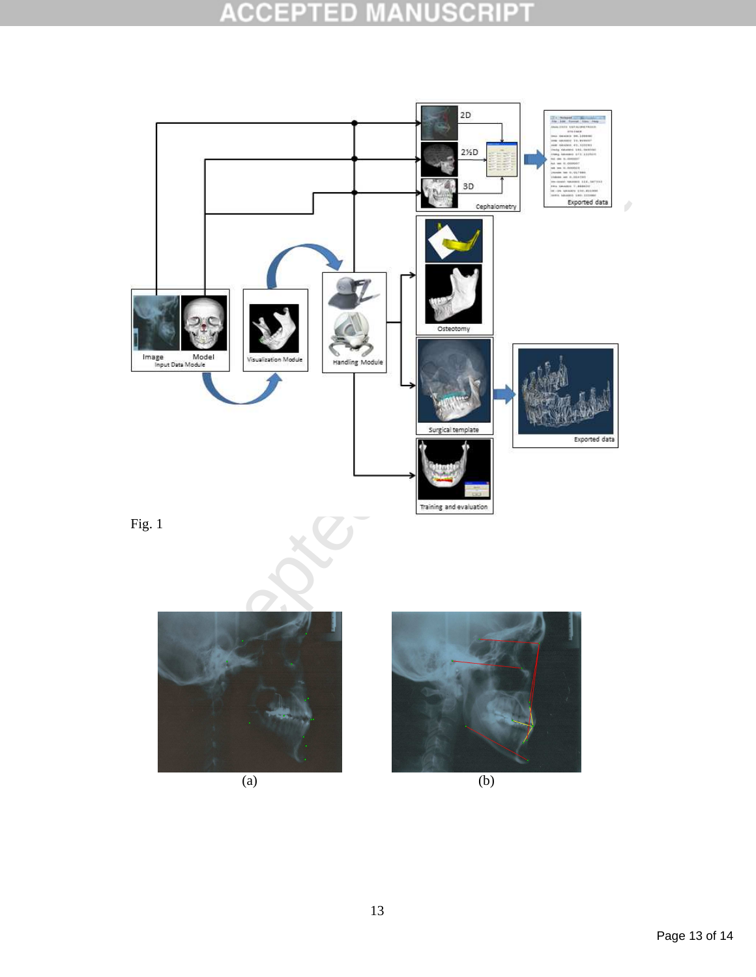#### **ACCEPTED USCRIP1**  $\perp$